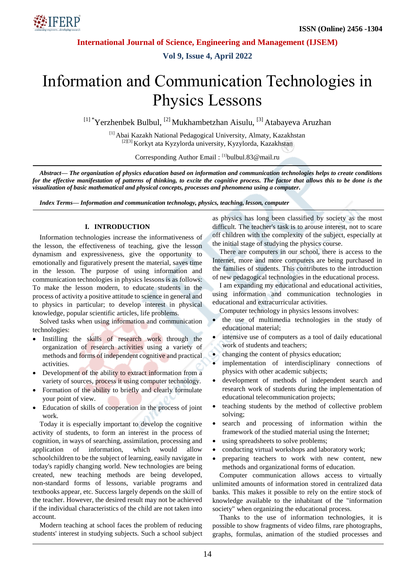

**International Journal of Science, Engineering and Management (IJSEM)**

**Vol 9, Issue 4, April 2022**

# Information and Communication Technologies in Physics Lessons

 $^{[1]}$  \*Yerzhenbek Bulbul,  $^{[2]}$  Mukhambetzhan Aisulu,  $^{[3]}$  Atabayeva Aruzhan

[1] Abai Kazakh National Pedagogical University, Almaty, Kazakhstan  $^{[2][3]}$  Korkyt ata Kyzylorda university, Kyzylorda, Kazakhstan

Corresponding Author Email: [1]bulbul.83@mail.ru

*Abstract— The organization of physics education based on information and communication technologies helps to create conditions*  for the effective manifestation of patterns of thinking, to excite the cognitive process. The factor that allows this to be done is the *visualization of basic mathematical and physical concepts, processes and phenomena using a computer.*

*Index Terms— Information and communication technology, physics, teaching, lesson, computer*

#### **I. INTRODUCTION**

Information technologies increase the informativeness of the lesson, the effectiveness of teaching, give the lesson dynamism and expressiveness, give the opportunity to emotionally and figuratively present the material, saves time in the lesson. The purpose of using information and communication technologies in physics lessons is as follows: To make the lesson modern, to educate students in the process of activity a positive attitude to science in general and to physics in particular; to develop interest in physical knowledge, popular scientific articles, life problems.

Solved tasks when using information and communication technologies:

- Instilling the skills of research work through the organization of research activities using a variety of methods and forms of independent cognitive and practical activities.
- Development of the ability to extract information from a variety of sources, process it using computer technology.
- Formation of the ability to briefly and clearly formulate your point of view.
- Education of skills of cooperation in the process of joint work.

Today it is especially important to develop the cognitive activity of students, to form an interest in the process of cognition, in ways of searching, assimilation, processing and application of information, which would allow schoolchildren to be the subject of learning, easily navigate in today's rapidly changing world. New technologies are being created, new teaching methods are being developed, non-standard forms of lessons, variable programs and textbooks appear, etc. Success largely depends on the skill of the teacher. However, the desired result may not be achieved if the individual characteristics of the child are not taken into account.

Modern teaching at school faces the problem of reducing students' interest in studying subjects. Such a school subject as physics has long been classified by society as the most difficult. The teacher's task is to arouse interest, not to scare off children with the complexity of the subject, especially at the initial stage of studying the physics course.

There are computers in our school, there is access to the Internet, more and more computers are being purchased in the families of students. This contributes to the introduction of new pedagogical technologies in the educational process.

I am expanding my educational and educational activities, using information and communication technologies in educational and extracurricular activities.

Computer technology in physics lessons involves:

- the use of multimedia technologies in the study of educational material;
- intensive use of computers as a tool of daily educational work of students and teachers;
- changing the content of physics education;
- implementation of interdisciplinary connections of physics with other academic subjects;
- development of methods of independent search and research work of students during the implementation of educational telecommunication projects;
- teaching students by the method of collective problem solving;
- search and processing of information within the framework of the studied material using the Internet;
- using spreadsheets to solve problems;
- conducting virtual workshops and laboratory work;
- preparing teachers to work with new content, new methods and organizational forms of education.

Computer communication allows access to virtually unlimited amounts of information stored in centralized data banks. This makes it possible to rely on the entire stock of knowledge available to the inhabitant of the "information society" when organizing the educational process.

Thanks to the use of information technologies, it is possible to show fragments of video films, rare photographs, graphs, formulas, animation of the studied processes and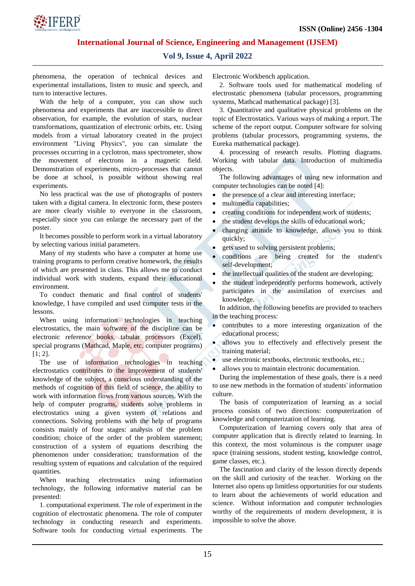

**International Journal of Science, Engineering and Management (IJSEM)**

## **Vol 9, Issue 4, April 2022**

phenomena, the operation of technical devices and experimental installations, listen to music and speech, and turn to interactive lectures.

With the help of a computer, you can show such phenomena and experiments that are inaccessible to direct observation, for example, the evolution of stars, nuclear transformations, quantization of electronic orbits, etc. Using models from a virtual laboratory created in the project environment "Living Physics", you can simulate the processes occurring in a cyclotron, mass spectrometer, show the movement of electrons in a magnetic field. Demonstration of experiments, micro-processes that cannot be done at school, is possible without showing real experiments.

No less practical was the use of photographs of posters taken with a digital camera. In electronic form, these posters are more clearly visible to everyone in the classroom, especially since you can enlarge the necessary part of the poster.

It becomes possible to perform work in a virtual laboratory by selecting various initial parameters.

Many of my students who have a computer at home use training programs to perform creative homework, the results of which are presented in class. This allows me to conduct individual work with students, expand their educational environment.

To conduct thematic and final control of students' knowledge, I have compiled and used computer tests in the lessons.

When using information technologies in teaching electrostatics, the main software of the discipline can be electronic reference books, tabular processors (Excel), special programs (Mathcad, Maple, etc. computer programs) [1; 2].

The use of information technologies in teaching electrostatics contributes to the improvement of students' knowledge of the subject, a conscious understanding of the methods of cognition of this field of science, the ability to work with information flows from various sources. With the help of computer programs, students solve problems in electrostatics using a given system of relations and connections. Solving problems with the help of programs consists mainly of four stages: analysis of the problem condition; choice of the order of the problem statement; construction of a system of equations describing the phenomenon under consideration; transformation of the resulting system of equations and calculation of the required quantities.

When teaching electrostatics using information technology, the following informative material can be presented:

1. computational experiment. The role of experiment in the cognition of electrostatic phenomena. The role of computer technology in conducting research and experiments. Software tools for conducting virtual experiments. The Electronic Workbench application.

2. Software tools used for mathematical modeling of electrostatic phenomena (tabular processors, programming systems, Mathcad mathematical package) [3].

3. Quantitative and qualitative physical problems on the topic of Electrostatics. Various ways of making a report. The scheme of the report output. Computer software for solving problems (tabular processors, programming systems, the Eureka mathematical package).

4. processing of research results. Plotting diagrams. Working with tabular data. Introduction of multimedia objects.

The following advantages of using new information and computer technologies can be noted [4]:

- the presence of a clear and interesting interface;
- multimedia capabilities:
- creating conditions for independent work of students;
- the student develops the skills of educational work;
- changing attitude to knowledge, allows you to think quickly;
- gets used to solving persistent problems;
- conditions are being created for the student's self-development;
- the intellectual qualities of the student are developing;
- the student independently performs homework, actively participates in the assimilation of exercises and knowledge.

In addition, the following benefits are provided to teachers in the teaching process:

- contributes to a more interesting organization of the educational process;
- allows you to effectively and effectively present the training material;
- use electronic textbooks, electronic textbooks, etc.;
- allows you to maintain electronic documentation.

During the implementation of these goals, there is a need to use new methods in the formation of students' information culture.

The basis of computerization of learning as a social process consists of two directions: computerization of knowledge and computerization of learning.

Computerization of learning covers only that area of computer application that is directly related to learning. In this context, the most voluminous is the computer usage space (training sessions, student testing, knowledge control, game classes, etc.).

The fascination and clarity of the lesson directly depends on the skill and curiosity of the teacher. Working on the Internet also opens up limitless opportunities for our students to learn about the achievements of world education and science. Without information and computer technologies worthy of the requirements of modern development, it is impossible to solve the above.